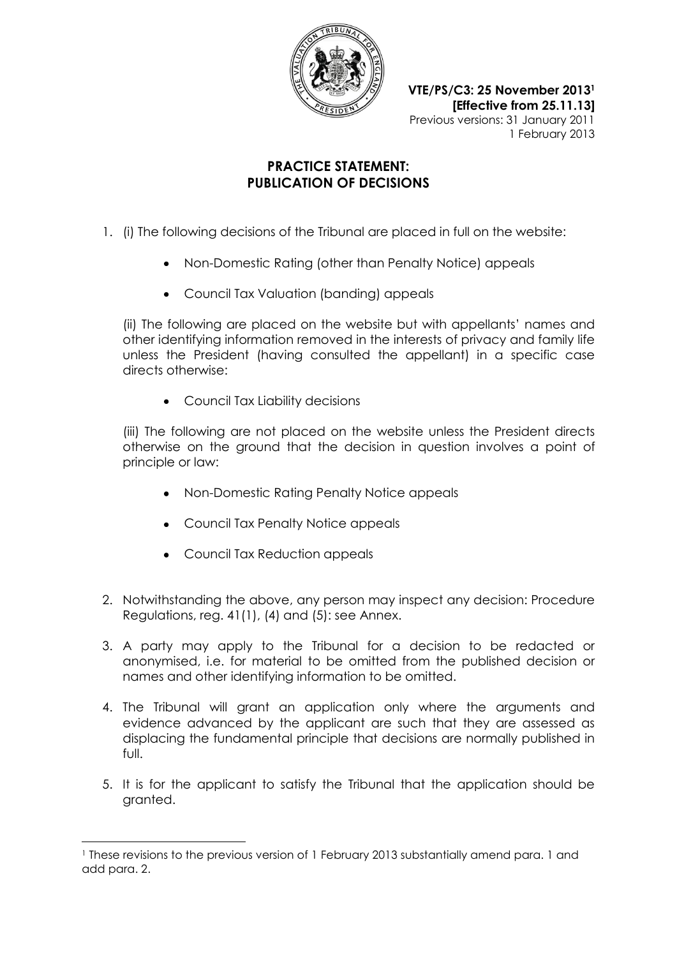

**VTE/PS/C3: 25 November 2013<sup>1</sup> [Effective from 25.11.13]** Previous versions: 31 January 2011 1 February 2013

## **PRACTICE STATEMENT: PUBLICATION OF DECISIONS**

- 1. (i) The following decisions of the Tribunal are placed in full on the website:
	- Non-Domestic Rating (other than Penalty Notice) appeals
	- Council Tax Valuation (banding) appeals

(ii) The following are placed on the website but with appellants' names and other identifying information removed in the interests of privacy and family life unless the President (having consulted the appellant) in a specific case directs otherwise:

• Council Tax Liability decisions

(iii) The following are not placed on the website unless the President directs otherwise on the ground that the decision in question involves a point of principle or law:

- Non-Domestic Rating Penalty Notice appeals
- Council Tax Penalty Notice appeals
- Council Tax Reduction appeals

 $\overline{a}$ 

- 2. Notwithstanding the above, any person may inspect any decision: Procedure Regulations, reg. 41(1), (4) and (5): see Annex.
- 3. A party may apply to the Tribunal for a decision to be redacted or anonymised, i.e. for material to be omitted from the published decision or names and other identifying information to be omitted.
- 4. The Tribunal will grant an application only where the arguments and evidence advanced by the applicant are such that they are assessed as displacing the fundamental principle that decisions are normally published in full.
- 5. It is for the applicant to satisfy the Tribunal that the application should be granted.

<sup>1</sup> These revisions to the previous version of 1 February 2013 substantially amend para. 1 and add para. 2.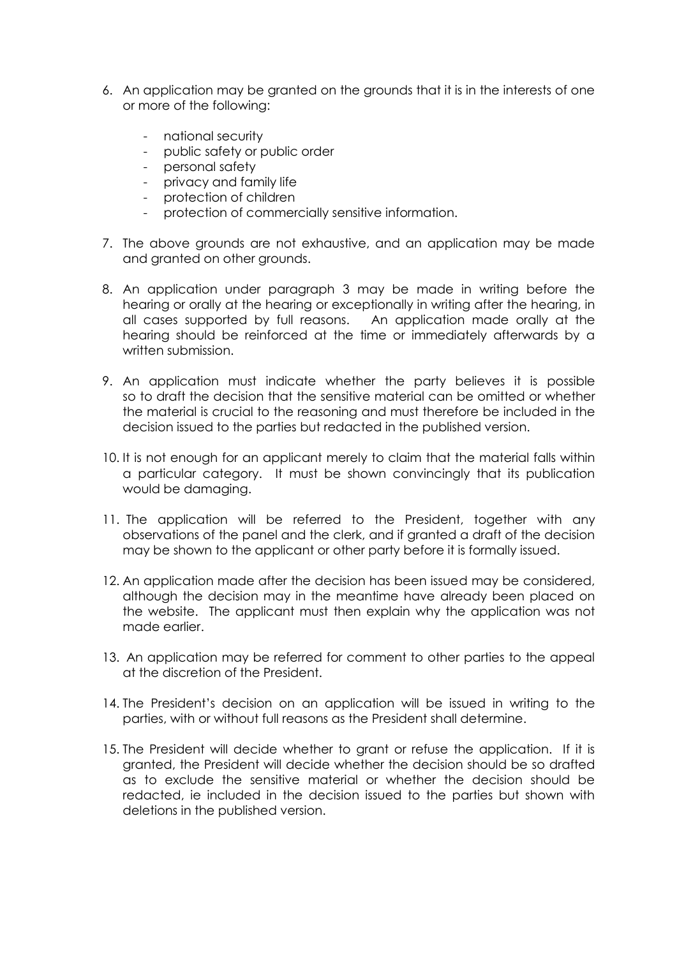- 6. An application may be granted on the grounds that it is in the interests of one or more of the following:
	- national security
	- public safety or public order
	- personal safety
	- privacy and family life
	- protection of children
	- protection of commercially sensitive information.
- 7. The above grounds are not exhaustive, and an application may be made and granted on other grounds.
- 8. An application under paragraph 3 may be made in writing before the hearing or orally at the hearing or exceptionally in writing after the hearing, in all cases supported by full reasons. An application made orally at the hearing should be reinforced at the time or immediately afterwards by a written submission.
- 9. An application must indicate whether the party believes it is possible so to draft the decision that the sensitive material can be omitted or whether the material is crucial to the reasoning and must therefore be included in the decision issued to the parties but redacted in the published version.
- 10. It is not enough for an applicant merely to claim that the material falls within a particular category. It must be shown convincingly that its publication would be damaging.
- 11. The application will be referred to the President, together with any observations of the panel and the clerk, and if granted a draft of the decision may be shown to the applicant or other party before it is formally issued.
- 12. An application made after the decision has been issued may be considered, although the decision may in the meantime have already been placed on the website. The applicant must then explain why the application was not made earlier.
- 13. An application may be referred for comment to other parties to the appeal at the discretion of the President.
- 14. The President's decision on an application will be issued in writing to the parties, with or without full reasons as the President shall determine.
- 15. The President will decide whether to grant or refuse the application. If it is granted, the President will decide whether the decision should be so drafted as to exclude the sensitive material or whether the decision should be redacted, ie included in the decision issued to the parties but shown with deletions in the published version.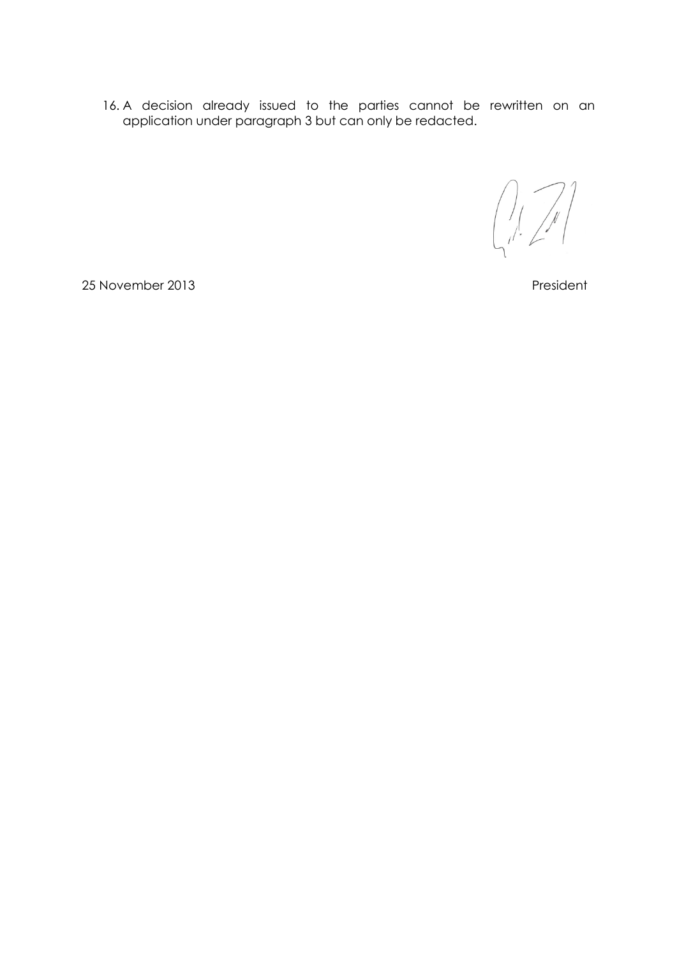16. A decision already issued to the parties cannot be rewritten on an application under paragraph 3 but can only be redacted.

25 November 2013 **President**